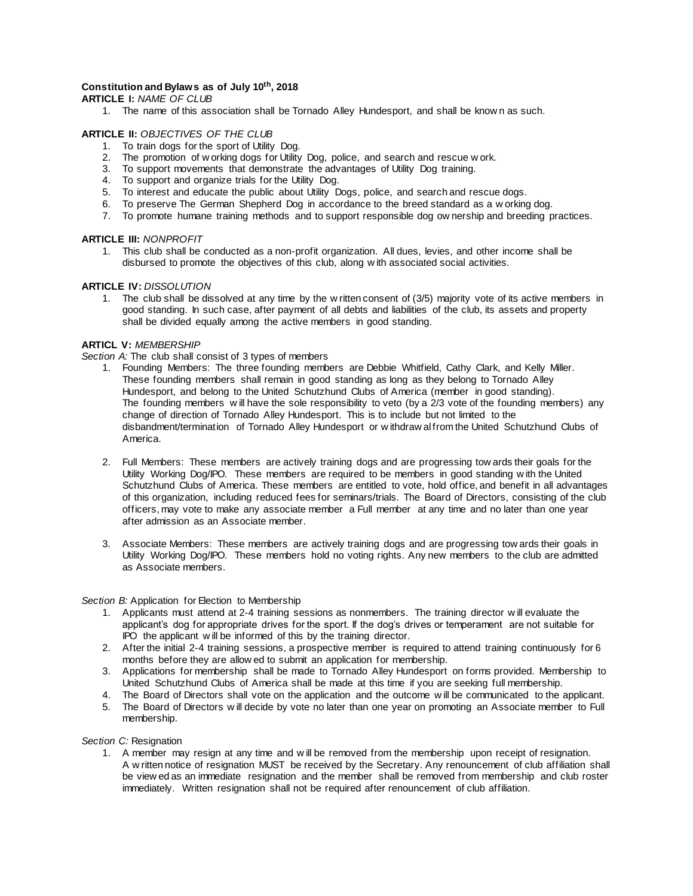## **Constitution and Bylaws as of July 10 th, 2018**

**ARTICLE I:** *NAME OF CLUB*

1. The name of this association shall be Tornado Alley Hundesport, and shall be know n as such.

#### **ARTICLE II:** *OBJECTIVES OF THE CLUB*

- 1. To train dogs for the sport of Utility Dog.
- 2. The promotion of w orking dogs for Utility Dog, police, and search and rescue w ork.
- 3. To support movements that demonstrate the advantages of Utility Dog training.
- 4. To support and organize trials for the Utility Dog.
- 5. To interest and educate the public about Utility Dogs, police, and search and rescue dogs.
- 6. To preserve The German Shepherd Dog in accordance to the breed standard as a w orking dog.
- 7. To promote humane training methods and to support responsible dog ow nership and breeding practices.

#### **ARTICLE III:** *NONPROFIT*

1. This club shall be conducted as a non-profit organization. All dues, levies, and other income shall be disbursed to promote the objectives of this club, along w ith associated social activities.

#### **ARTICLE IV:** *DISSOLUTION*

1. The club shall be dissolved at any time by the w ritten consent of (3/5) majority vote of its active members in good standing. In such case, after payment of all debts and liabilities of the club, its assets and property shall be divided equally among the active members in good standing.

#### **ARTICL V:** *MEMBERSHIP*

*Section A:* The club shall consist of 3 types of members

- 1. Founding Members: The three founding members are Debbie Whitfield, Cathy Clark, and Kelly Miller. These founding members shall remain in good standing as long as they belong to Tornado Alley Hundesport, and belong to the United Schutzhund Clubs of America (member in good standing). The founding members will have the sole responsibility to veto (by a 2/3 vote of the founding members) any change of direction of Tornado Alley Hundesport. This is to include but not limited to the disbandment/termination of Tornado Alley Hundesport or w ithdraw al from the United Schutzhund Clubs of America.
- 2. Full Members: These members are actively training dogs and are progressing tow ards their goals for the Utility Working Dog/IPO. These members are required to be members in good standing w ith the United Schutzhund Clubs of America. These members are entitled to vote, hold office, and benefit in all advantages of this organization, including reduced fees for seminars/trials. The Board of Directors, consisting of the club officers, may vote to make any associate member a Full member at any time and no later than one year after admission as an Associate member.
- 3. Associate Members: These members are actively training dogs and are progressing tow ards their goals in Utility Working Dog/IPO. These members hold no voting rights. Any new members to the club are admitted as Associate members.

#### *Section B:* Application for Election to Membership

- 1. Applicants must attend at 2-4 training sessions as nonmembers. The training director w ill evaluate the applicant's dog for appropriate drives for the sport. If the dog's drives or temperament are not suitable for IPO the applicant w ill be informed of this by the training director.
- 2. After the initial 2-4 training sessions, a prospective member is required to attend training continuously for 6 months before they are allow ed to submit an application for membership.
- 3. Applications for membership shall be made to Tornado Alley Hundesport on forms provided. Membership to United Schutzhund Clubs of America shall be made at this time if you are seeking full membership.
- 4. The Board of Directors shall vote on the application and the outcome w ill be communicated to the applicant.
- 5. The Board of Directors w ill decide by vote no later than one year on promoting an Associate member to Full membership.

#### *Section C:* Resignation

1. A member may resign at any time and w ill be removed from the membership upon receipt of resignation. A w ritten notice of resignation MUST be received by the Secretary. Any renouncement of club affiliation shall be view ed as an immediate resignation and the member shall be removed from membership and club roster immediately. Written resignation shall not be required after renouncement of club affiliation.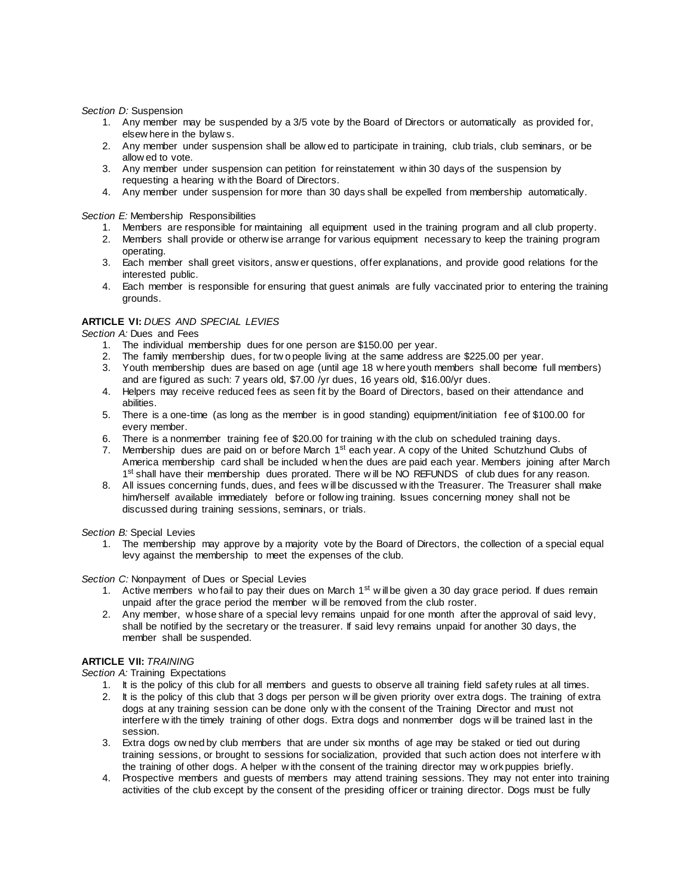*Section D:* Suspension

- 1. Any member may be suspended by a 3/5 vote by the Board of Directors or automatically as provided for, elsew here in the bylaw s.
- 2. Any member under suspension shall be allow ed to participate in training, club trials, club seminars, or be allow ed to vote.
- 3. Any member under suspension can petition for reinstatement w ithin 30 days of the suspension by requesting a hearing w ith the Board of Directors.
- 4. Any member under suspension for more than 30 days shall be expelled from membership automatically.

*Section E:* Membership Responsibilities

- 1. Members are responsible for maintaining all equipment used in the training program and all club property.
- 2. Members shall provide or otherw ise arrange for various equipment necessary to keep the training program operating.
- 3. Each member shall greet visitors, answ er questions, offer explanations, and provide good relations for the interested public.
- 4. Each member is responsible for ensuring that guest animals are fully vaccinated prior to entering the training grounds.

## **ARTICLE VI:** *DUES AND SPECIAL LEVIES*

*Section A:* Dues and Fees

- 1. The individual membership dues for one person are \$150.00 per year.
- 2. The family membership dues, for tw o people living at the same address are \$225.00 per year.
- 3. Youth membership dues are based on age (until age 18 w here youth members shall become full members) and are figured as such: 7 years old, \$7.00 /yr dues, 16 years old, \$16.00/yr dues.
- 4. Helpers may receive reduced fees as seen fit by the Board of Directors, based on their attendance and abilities.
- 5. There is a one-time (as long as the member is in good standing) equipment/initiation f ee of \$100.00 for every member.
- 6. There is a nonmember training fee of \$20.00 for training w ith the club on scheduled training days.
- 7. Membership dues are paid on or before March 1<sup>st</sup> each year. A copy of the United Schutzhund Clubs of America membership card shall be included w hen the dues are paid each year. Members joining after March 1<sup>st</sup> shall have their membership dues prorated. There will be NO REFUNDS of club dues for any reason.
- 8. All issues concerning funds, dues, and fees w ill be discussed w ith the Treasurer. The Treasurer shall make him/herself available immediately before or follow ing training. Issues concerning money shall not be discussed during training sessions, seminars, or trials.

*Section B:* Special Levies

1. The membership may approve by a majority vote by the Board of Directors, the collection of a special equal levy against the membership to meet the expenses of the club.

*Section C:* Nonpayment of Dues or Special Levies

- 1. Active members w ho fail to pay their dues on March  $1<sup>st</sup>$  w ill be given a 30 day grace period. If dues remain unpaid after the grace period the member w ill be removed from the club roster.
- 2. Any member, w hose share of a special levy remains unpaid for one month after the approval of said levy, shall be notified by the secretary or the treasurer. If said levy remains unpaid for another 30 days, the member shall be suspended.

# **ARTICLE VII:** *TRAINING*

**Section A: Training Expectations** 

- 1. It is the policy of this club for all members and guests to observe all training field safety rules at all times.
- 2. It is the policy of this club that 3 dogs per person w ill be given priority over extra dogs. The training of extra dogs at any training session can be done only w ith the consent of the Training Director and must not interfere w ith the timely training of other dogs. Extra dogs and nonmember dogs w ill be trained last in the session.
- 3. Extra dogs ow ned by club members that are under six months of age may be staked or tied out during training sessions, or brought to sessions for socialization, provided that such action does not interfere w ith the training of other dogs. A helper w ith the consent of the training director may w ork puppies briefly.
- 4. Prospective members and guests of members may attend training sessions. They may not enter into training activities of the club except by the consent of the presiding officer or training director. Dogs must be fully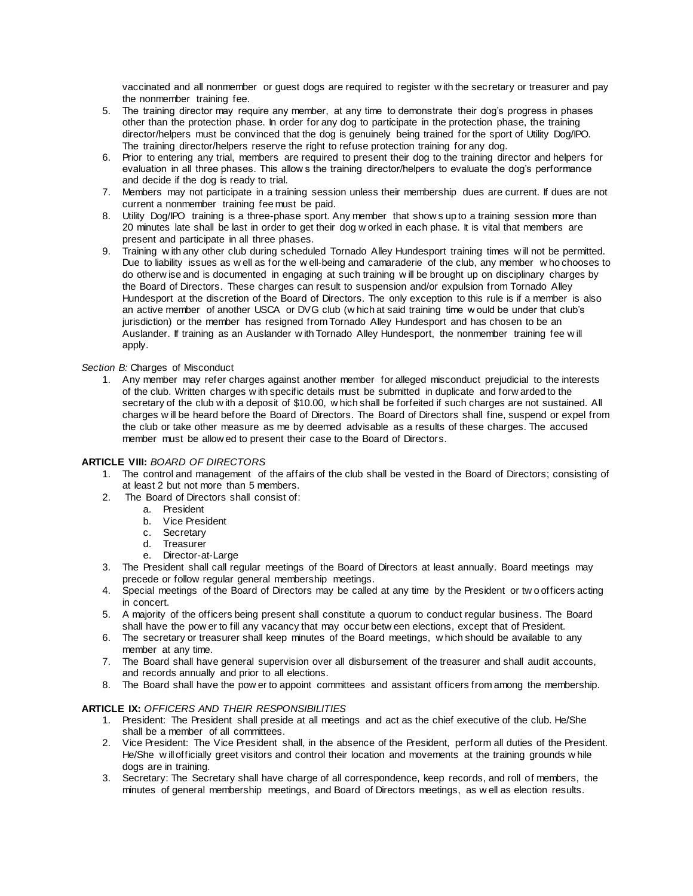vaccinated and all nonmember or guest dogs are required to register w ith the sec retary or treasurer and pay the nonmember training fee.

- 5. The training director may require any member, at any time to demonstrate their dog's progress in phases other than the protection phase. In order for any dog to participate in the protection phase, the training director/helpers must be convinced that the dog is genuinely being trained for the sport of Utility Dog/IPO. The training director/helpers reserve the right to refuse protection training for any dog.
- 6. Prior to entering any trial, members are required to present their dog to the training director and helpers for evaluation in all three phases. This allow s the training director/helpers to evaluate the dog's performance and decide if the dog is ready to trial.
- 7. Members may not participate in a training session unless their membership dues are current. If dues are not current a nonmember training fee must be paid.
- 8. Utility Dog/IPO training is a three-phase sport. Any member that show s up to a training session more than 20 minutes late shall be last in order to get their dog w orked in each phase. It is vital that members are present and participate in all three phases.
- 9. Training w ith any other club during scheduled Tornado Alley Hundesport training times w ill not be permitted. Due to liability issues as w ell as for the w ell-being and camaraderie of the club, any member w ho chooses to do otherw ise and is documented in engaging at such training w ill be brought up on disciplinary charges by the Board of Directors. These charges can result to suspension and/or expulsion from Tornado Alley Hundesport at the discretion of the Board of Directors. The only exception to this rule is if a member is also an active member of another USCA or DVG club (w hich at said training time w ould be under that club's jurisdiction) or the member has resigned from Tornado Alley Hundesport and has chosen to be an Auslander. If training as an Auslander w ith Tornado Alley Hundesport, the nonmember training fee w ill apply.

# *Section B:* Charges of Misconduct

1. Any member may refer charges against another member for alleged misconduct prejudicial to the interests of the club. Written charges w ith specific details must be submitted in duplicate and forw arded to the secretary of the club w ith a deposit of \$10.00, w hich shall be forfeited if such charges are not sustained. All charges w ill be heard before the Board of Directors. The Board of Directors shall fine, suspend or expel from the club or take other measure as me by deemed advisable as a results of these charges. The accused member must be allow ed to present their case to the Board of Directors.

## **ARTICLE VIII:** *BOARD OF DIRECTORS*

- 1. The control and management of the affairs of the club shall be vested in the Board of Directors; consisting of at least 2 but not more than 5 members.
- 2. The Board of Directors shall consist of:
	- a. President
	- b. Vice President
	- c. Secretary
	- d. Treasurer
	- e. Director-at-Large
- 3. The President shall call regular meetings of the Board of Directors at least annually. Board meetings may precede or follow regular general membership meetings.
- 4. Special meetings of the Board of Directors may be called at any time by the President or tw o officers acting in concert.
- 5. A majority of the officers being present shall constitute a quorum to conduct regular business. The Board shall have the pow er to fill any vacancy that may occur betw een elections, except that of President.
- 6. The secretary or treasurer shall keep minutes of the Board meetings, w hich should be available to any member at any time.
- 7. The Board shall have general supervision over all disbursement of the treasurer and shall audit accounts, and records annually and prior to all elections.
- 8. The Board shall have the pow er to appoint committees and assistant officers from among the membership.

## **ARTICLE IX:** *OFFICERS AND THEIR RESPONSIBILITIES*

- 1. President: The President shall preside at all meetings and act as the chief executive of the club. He/She shall be a member of all committees.
- 2. Vice President: The Vice President shall, in the absence of the President, perform all duties of the President. He/She w ill officially greet visitors and control their location and movements at the training grounds w hile dogs are in training.
- 3. Secretary: The Secretary shall have charge of all correspondence, keep records, and roll of members, the minutes of general membership meetings, and Board of Directors meetings, as w ell as election results.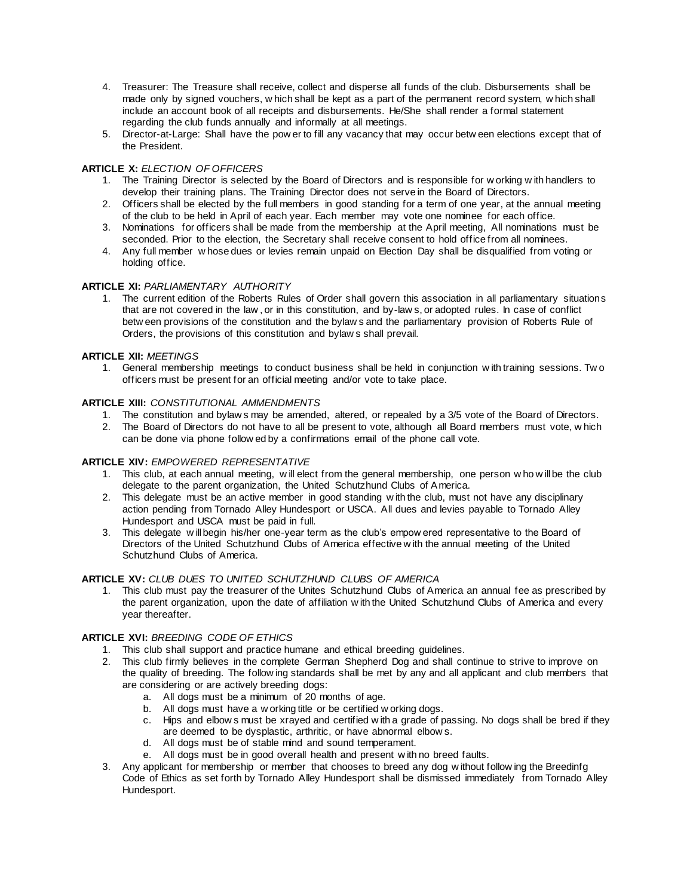- 4. Treasurer: The Treasure shall receive, collect and disperse all funds of the club. Disbursements shall be made only by signed vouchers, w hich shall be kept as a part of the permanent record system, w hich shall include an account book of all receipts and disbursements. He/She shall render a formal statement regarding the club funds annually and informally at all meetings.
- 5. Director-at-Large: Shall have the pow er to fill any vacancy that may occur betw een elections except that of the President.

# **ARTICLE X:** *ELECTION OF OFFICERS*

- 1. The Training Director is selected by the Board of Directors and is responsible for w orking w ith handlers to develop their training plans. The Training Director does not serve in the Board of Directors.
- 2. Officers shall be elected by the full members in good standing for a term of one year, at the annual meeting of the club to be held in April of each year. Each member may vote one nominee for each office.
- 3. Nominations for officers shall be made from the membership at the April meeting, All nominations must be seconded. Prior to the election, the Secretary shall receive consent to hold office from all nominees.
- 4. Any full member w hose dues or levies remain unpaid on Election Day shall be disqualified from voting or holding office.

## **ARTICLE XI:** *PARLIAMENTARY AUTHORITY*

1. The current edition of the Roberts Rules of Order shall govern this association in all parliamentary situations that are not covered in the law , or in this constitution, and by-law s, or adopted rules. In case of conflict betw een provisions of the constitution and the bylaw s and the parliamentary provision of Roberts Rule of Orders, the provisions of this constitution and bylaw s shall prevail.

## **ARTICLE XII:** *MEETINGS*

1. General membership meetings to conduct business shall be held in conjunction w ith training sessions. Tw o officers must be present for an official meeting and/or vote to take place.

## **ARTICLE XIII:** *CONSTITUTIONAL AMMENDMENTS*

- 1. The constitution and bylaw s may be amended, altered, or repealed by a 3/5 vote of the Board of Directors.
- 2. The Board of Directors do not have to all be present to vote, although all Board members must vote, w hich can be done via phone follow ed by a confirmations email of the phone call vote.

## **ARTICLE XIV:** *EMPOWERED REPRESENTATIVE*

- 1. This club, at each annual meeting, w ill elect from the general membership, one person w ho w ill be the club delegate to the parent organization, the United Schutzhund Clubs of America.
- 2. This delegate must be an active member in good standing w ith the club, must not have any disciplinary action pending from Tornado Alley Hundesport or USCA. All dues and levies payable to Tornado Alley Hundesport and USCA must be paid in full.
- 3. This delegate w ill begin his/her one-year term as the club's empow ered representative to the Board of Directors of the United Schutzhund Clubs of America effective w ith the annual meeting of the United Schutzhund Clubs of America.

## **ARTICLE XV:** *CLUB DUES TO UNITED SCHUTZHUND CLUBS OF AMERICA*

1. This club must pay the treasurer of the Unites Schutzhund Clubs of America an annual fee as prescribed by the parent organization, upon the date of affiliation w ith the United Schutzhund Clubs of America and every year thereafter.

## **ARTICLE XVI:** *BREEDING CODE OF ETHICS*

- 1. This club shall support and practice humane and ethical breeding guidelines.
- 2. This club firmly believes in the complete German Shepherd Dog and shall continue to strive to improve on the quality of breeding. The follow ing standards shall be met by any and all applicant and club members that are considering or are actively breeding dogs:
	- a. All dogs must be a minimum of 20 months of age.
	- b. All dogs must have a w orking title or be certified w orking dogs.
	- c. Hips and elbow s must be xrayed and certified w ith a grade of passing. No dogs shall be bred if they are deemed to be dysplastic, arthritic, or have abnormal elbow s.
	- d. All dogs must be of stable mind and sound temperament.
	- e. All dogs must be in good overall health and present w ith no breed faults.
- 3. Any applicant for membership or member that chooses to breed any dog w ithout follow ing the Breedinfg Code of Ethics as set forth by Tornado Alley Hundesport shall be dismissed immediately from Tornado Alley Hundesport.